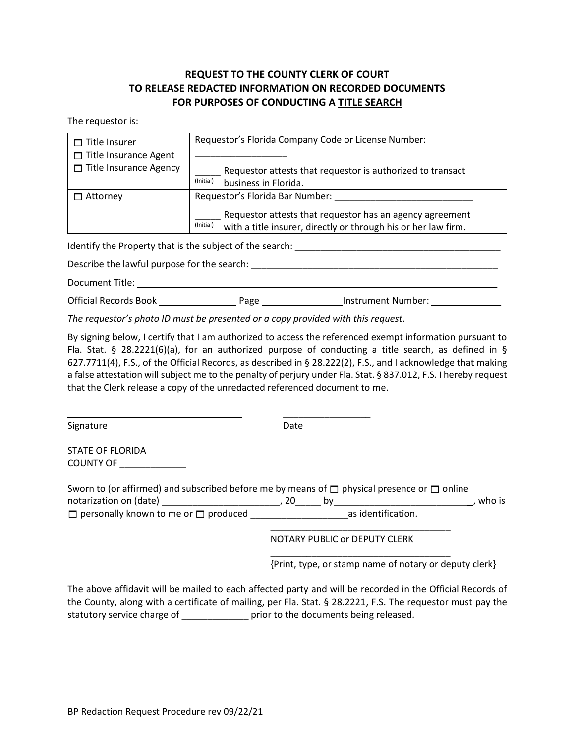## **REQUEST TO THE COUNTY CLERK OF COURT TO RELEASE REDACTED INFORMATION ON RECORDED DOCUMENTS FOR PURPOSES OF CONDUCTING A TITLE SEARCH**

The requestor is:

| $\Box$ Title Insurer<br>$\Box$ Title Insurance Agent | Requestor's Florida Company Code or License Number:                                                                                     |
|------------------------------------------------------|-----------------------------------------------------------------------------------------------------------------------------------------|
| $\Box$ Title Insurance Agency                        | Requestor attests that requestor is authorized to transact<br>(Initial)<br>business in Florida.                                         |
| ∩ Attorney                                           | Requestor's Florida Bar Number:                                                                                                         |
|                                                      | Requestor attests that requestor has an agency agreement<br>(Initial)<br>with a title insurer, directly or through his or her law firm. |

Identify the Property that is the subject of the search: \_\_\_\_\_\_\_\_\_\_\_\_\_\_\_\_\_\_\_\_\_\_\_\_\_\_\_\_\_\_\_\_\_\_\_\_\_\_\_\_

Describe the lawful purpose for the search:  $\Box$ 

Document Title: \_\_\_\_\_\_\_\_\_\_\_\_\_\_\_\_\_\_\_\_\_\_\_\_\_\_\_\_\_\_\_\_\_\_\_\_\_\_\_\_\_\_\_\_\_\_\_\_\_\_\_\_\_\_\_\_\_\_\_\_\_\_\_\_\_\_\_\_\_\_

| <b>Official Records Book</b> | Page | Instrument Number: |
|------------------------------|------|--------------------|
|                              |      |                    |

*The requestor's photo ID must be presented or a copy provided with this request*.

\_\_\_\_\_\_\_\_\_\_\_\_\_\_\_\_\_\_\_\_\_\_\_\_\_\_\_\_\_\_\_\_\_\_ \_\_\_\_\_\_\_\_\_\_\_\_\_\_\_\_\_

By signing below, I certify that I am authorized to access the referenced exempt information pursuant to Fla. Stat. § 28.2221(6)(a), for an authorized purpose of conducting a title search, as defined in § 627.7711(4), F.S., of the Official Records, as described in § 28.222(2), F.S., and I acknowledge that making a false attestation will subject me to the penalty of perjury under Fla. Stat. § 837.012, F.S. I hereby request that the Clerk release a copy of the unredacted referenced document to me.

Signature Date Date

STATE OF FLORIDA COUNTY OF \_\_\_\_\_\_\_\_\_\_\_\_\_

| Sworn to (or affirmed) and subscribed before me by means of $\Box$ physical presence or $\Box$ online |     |    |                    |        |  |  |
|-------------------------------------------------------------------------------------------------------|-----|----|--------------------|--------|--|--|
| notarization on (date)                                                                                | -20 | nv |                    | who is |  |  |
| $\Box$ personally known to me or $\Box$ produced                                                      |     |    | as identification. |        |  |  |
|                                                                                                       |     |    |                    |        |  |  |

NOTARY PUBLIC or DEPUTY CLERK

\_\_\_\_\_\_\_\_\_\_\_\_\_\_\_\_\_\_\_\_\_\_\_\_\_\_\_\_\_\_\_\_\_\_\_

{Print, type, or stamp name of notary or deputy clerk}

The above affidavit will be mailed to each affected party and will be recorded in the Official Records of the County, along with a certificate of mailing, per Fla. Stat. § 28.2221, F.S. The requestor must pay the statutory service charge of \_\_\_\_\_\_\_\_\_\_\_\_\_\_\_ prior to the documents being released.